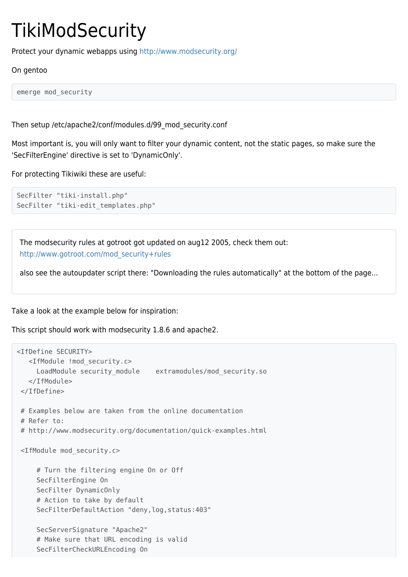## **TikiModSecurity**

Protect your dynamic webapps using <http://www.modsecurity.org/>

## On gentoo

emerge mod\_security

Then setup /etc/apache2/conf/modules.d/99\_mod\_security.conf

Most important is, you will only want to filter your dynamic content, not the static pages, so make sure the 'SecFilterEngine' directive is set to 'DynamicOnly'.

For protecting Tikiwiki these are useful:

```
SecFilter "tiki-install.php"
SecFilter "tiki-edit templates.php"
```
The modsecurity rules at gotroot got updated on aug12 2005, check them out: [http://www.gotroot.com/mod\\_security+rules](http://www.gotroot.com/mod_security+rules)

also see the autoupdater script there: "Downloading the rules automatically" at the bottom of the page...

Take a look at the example below for inspiration:

This script should work with modsecurity 1.8.6 and apache2.

```
<IfDefine SECURITY>
   <IfModule !mod_security.c>
     LoadModule security module extramodules/mod security.so
    </IfModule>
  </IfDefine>
  # Examples below are taken from the online documentation
  # Refer to:
  # http://www.modsecurity.org/documentation/quick-examples.html
  <IfModule mod_security.c>
      # Turn the filtering engine On or Off
      SecFilterEngine On
      SecFilter DynamicOnly
      # Action to take by default
      SecFilterDefaultAction "deny,log,status:403"
      SecServerSignature "Apache2"
      # Make sure that URL encoding is valid
      SecFilterCheckURLEncoding On
```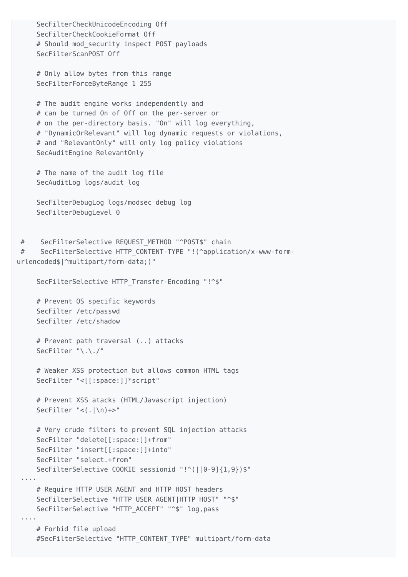```
 SecFilterCheckUnicodeEncoding Off
      SecFilterCheckCookieFormat Off
     # Should mod security inspect POST payloads
     SecFilterScanPOST Off
     # Only allow bytes from this range
     SecFilterForceByteRange 1 255
     # The audit engine works independently and
     # can be turned On of Off on the per-server or
     # on the per-directory basis. "On" will log everything,
     # "DynamicOrRelevant" will log dynamic requests or violations,
     # and "RelevantOnly" will only log policy violations
     SecAuditEngine RelevantOnly
     # The name of the audit log file
    SecAuditLog logs/audit log
     SecFilterDebugLog logs/modsec_debug_log
     SecFilterDebugLevel 0
 # SecFilterSelective REQUEST_METHOD "^POST$" chain
 # SecFilterSelective HTTP_CONTENT-TYPE "!(^application/x-www-form-
urlencoded$|^multipart/form-data;)"
     SecFilterSelective HTTP Transfer-Encoding "!^$"
     # Prevent OS specific keywords
      SecFilter /etc/passwd
     SecFilter /etc/shadow
     # Prevent path traversal (..) attacks
     SecFilter "\.\./"
     # Weaker XSS protection but allows common HTML tags
     SecFilter "<[[:space:]]*script"
     # Prevent XSS atacks (HTML/Javascript injection)
     SecFilter "<(.|\n)+>"
     # Very crude filters to prevent SQL injection attacks
      SecFilter "delete[[:space:]]+from"
      SecFilter "insert[[:space:]]+into"
     SecFilter "select.+from"
     SecFilterSelective COOKIE_sessionid "!^(|[0-9]{1,9})$"
 ····
    # Require HTTP USER AGENT and HTTP HOST headers
    SecFilterSelective "HTTP_USER_AGENTIHTTP_HOST" "^$"
    SecFilterSelective "HTTP ACCEPT" "^$" log,pass
 ····
     # Forbid file upload
     #SecFilterSelective "HTTP_CONTENT_TYPE" multipart/form-data
```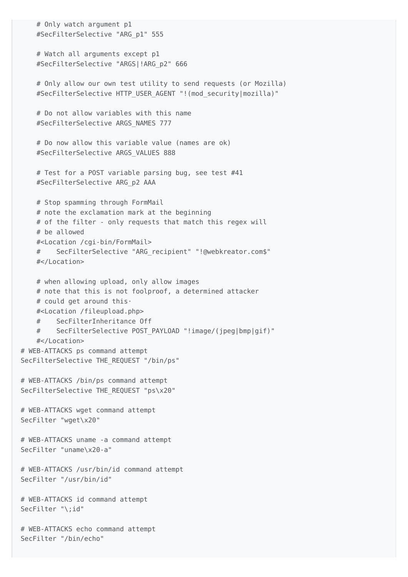```
 # Only watch argument p1
     #SecFilterSelective "ARG_p1" 555
     # Watch all arguments except p1
    #SecFilterSelective "ARGS|!ARG_p2" 666
    # Only allow our own test utility to send requests (or Mozilla)
    #SecFilterSelective HTTP_USER_AGENT "!(mod_security|mozilla)"
     # Do not allow variables with this name
    #SecFilterSelective ARGS_NAMES 777
    # Do now allow this variable value (names are ok)
    #SecFilterSelective ARGS_VALUES 888
    # Test for a POST variable parsing bug, see test #41
    #SecFilterSelective ARG_p2 AAA
    # Stop spamming through FormMail
    # note the exclamation mark at the beginning
    # of the filter - only requests that match this regex will
     # be allowed
     #<Location /cgi-bin/FormMail>
         SecFilterSelective "ARG recipient" "!@webkreator.com$"
    #</Location>
    # when allowing upload, only allow images
    # note that this is not foolproof, a determined attacker
    # could get around this·
    #<Location /fileupload.php>
    # SecFilterInheritance Off
     # SecFilterSelective POST_PAYLOAD "!image/(jpeg|bmp|gif)"
     #</Location>
 # WEB-ATTACKS ps command attempt
 SecFilterSelective THE_REQUEST "/bin/ps"
 # WEB-ATTACKS /bin/ps command attempt
SecFilterSelective THE REQUEST "ps\x20"
 # WEB-ATTACKS wget command attempt
 SecFilter "wget\x20"
 # WEB-ATTACKS uname -a command attempt
 SecFilter "uname\x20-a"
 # WEB-ATTACKS /usr/bin/id command attempt
 SecFilter "/usr/bin/id"
 # WEB-ATTACKS id command attempt
 SecFilter "\;id"
 # WEB-ATTACKS echo command attempt
 SecFilter "/bin/echo"
```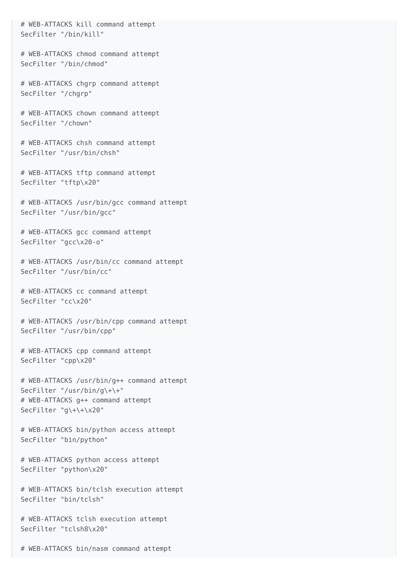# WEB-ATTACKS kill command attempt SecFilter "/bin/kill"

 # WEB-ATTACKS chmod command attempt SecFilter "/bin/chmod"

 # WEB-ATTACKS chgrp command attempt SecFilter "/chgrp"

 # WEB-ATTACKS chown command attempt SecFilter "/chown"

 # WEB-ATTACKS chsh command attempt SecFilter "/usr/bin/chsh"

 # WEB-ATTACKS tftp command attempt SecFilter "tftp\x20"

 # WEB-ATTACKS /usr/bin/gcc command attempt SecFilter "/usr/bin/gcc"

 # WEB-ATTACKS gcc command attempt SecFilter "gcc\x20-o"

 # WEB-ATTACKS /usr/bin/cc command attempt SecFilter "/usr/bin/cc"

 # WEB-ATTACKS cc command attempt SecFilter "cc\x20"

 # WEB-ATTACKS /usr/bin/cpp command attempt SecFilter "/usr/bin/cpp"

 # WEB-ATTACKS cpp command attempt SecFilter "cpp\x20"

 # WEB-ATTACKS /usr/bin/g++ command attempt SecFilter "/usr/bin/g\+\+" # WEB-ATTACKS g++ command attempt SecFilter "g\+\+\x20"

 # WEB-ATTACKS bin/python access attempt SecFilter "bin/python"

 # WEB-ATTACKS python access attempt SecFilter "python\x20"

 # WEB-ATTACKS bin/tclsh execution attempt SecFilter "bin/tclsh"

 # WEB-ATTACKS tclsh execution attempt SecFilter "tclsh8\x20"

# WEB-ATTACKS bin/nasm command attempt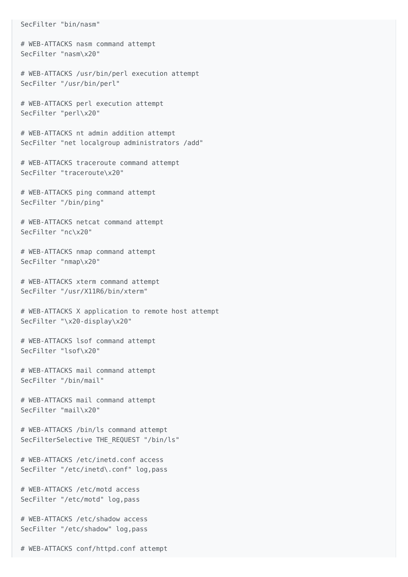## SecFilter "bin/nasm"

 # WEB-ATTACKS nasm command attempt SecFilter "nasm\x20"

 # WEB-ATTACKS /usr/bin/perl execution attempt SecFilter "/usr/bin/perl"

 # WEB-ATTACKS perl execution attempt SecFilter "perl\x20"

 # WEB-ATTACKS nt admin addition attempt SecFilter "net localgroup administrators /add"

 # WEB-ATTACKS traceroute command attempt SecFilter "traceroute\x20"

 # WEB-ATTACKS ping command attempt SecFilter "/bin/ping"

 # WEB-ATTACKS netcat command attempt SecFilter "nc\x20"

 # WEB-ATTACKS nmap command attempt SecFilter "nmap\x20"

 # WEB-ATTACKS xterm command attempt SecFilter "/usr/X11R6/bin/xterm"

 # WEB-ATTACKS X application to remote host attempt SecFilter "\x20-display\x20"

 # WEB-ATTACKS lsof command attempt SecFilter "lsof\x20"

 # WEB-ATTACKS mail command attempt SecFilter "/bin/mail"

 # WEB-ATTACKS mail command attempt SecFilter "mail\x20"

 # WEB-ATTACKS /bin/ls command attempt SecFilterSelective THE\_REQUEST "/bin/ls"

 # WEB-ATTACKS /etc/inetd.conf access SecFilter "/etc/inetd\.conf" log,pass

 # WEB-ATTACKS /etc/motd access SecFilter "/etc/motd" log,pass

 # WEB-ATTACKS /etc/shadow access SecFilter "/etc/shadow" log,pass

# WEB-ATTACKS conf/httpd.conf attempt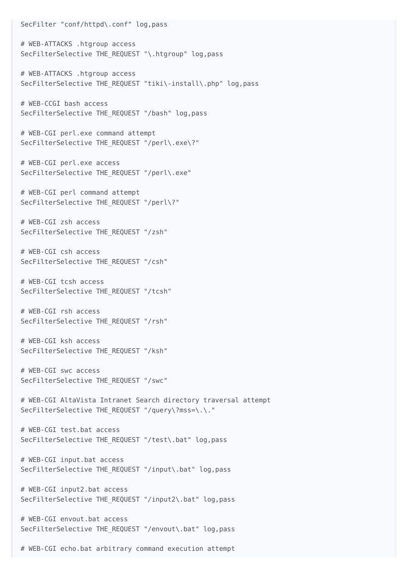SecFilter "conf/httpd\.conf" log,pass # WEB-ATTACKS .htgroup access SecFilterSelective THE\_REQUEST "\.htgroup" log,pass # WEB-ATTACKS .htgroup access SecFilterSelective THE REQUEST "tiki\-install\.php" log,pass # WEB-CCGI bash access SecFilterSelective THE REQUEST "/bash" log, pass # WEB-CGI perl.exe command attempt SecFilterSelective THE REQUEST "/perl\.exe\?" # WEB-CGI perl.exe access SecFilterSelective THE REQUEST "/perl\.exe" # WEB-CGI perl command attempt SecFilterSelective THE REQUEST "/perl\?" # WEB-CGI zsh access SecFilterSelective THE\_REQUEST "/zsh" # WEB-CGI csh access SecFilterSelective THE\_REQUEST "/csh" # WEB-CGI tcsh access SecFilterSelective THE\_REQUEST "/tcsh" # WEB-CGI rsh access SecFilterSelective THE\_REQUEST "/rsh" # WEB-CGI ksh access SecFilterSelective THE\_REQUEST "/ksh" # WEB-CGI swc access SecFilterSelective THE\_REQUEST "/swc" # WEB-CGI AltaVista Intranet Search directory traversal attempt SecFilterSelective THE REQUEST "/query\?mss=\.\." # WEB-CGI test.bat access SecFilterSelective THE REQUEST "/test\.bat" log,pass # WEB-CGI input.bat access SecFilterSelective THE\_REQUEST "/input\.bat" log,pass # WEB-CGI input2.bat access SecFilterSelective THE REQUEST "/input2\.bat" log,pass # WEB-CGI envout.bat access SecFilterSelective THE REQUEST "/envout\.bat" log,pass

# WEB-CGI echo.bat arbitrary command execution attempt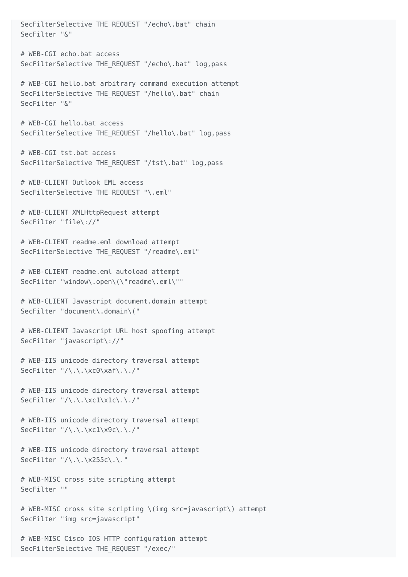SecFilterSelective THE REQUEST "/echo\.bat" chain SecFilter "&" # WEB-CGI echo.bat access SecFilterSelective THE\_REQUEST "/echo\.bat" log,pass # WEB-CGI hello.bat arbitrary command execution attempt SecFilterSelective THE REQUEST "/hello\.bat" chain SecFilter "&" # WEB-CGI hello.bat access SecFilterSelective THE\_REQUEST "/hello\.bat" log,pass # WEB-CGI tst.bat access SecFilterSelective THE REQUEST "/tst\.bat" log,pass # WEB-CLIENT Outlook EML access SecFilterSelective THE REOUEST "\.eml" # WEB-CLIENT XMLHttpRequest attempt SecFilter "file\://" # WEB-CLIENT readme.eml download attempt SecFilterSelective THE REQUEST "/readme\.eml" # WEB-CLIENT readme.eml autoload attempt SecFilter "window\.open\(\"readme\.eml\"" # WEB-CLIENT Javascript document.domain attempt SecFilter "document\.domain\(" # WEB-CLIENT Javascript URL host spoofing attempt SecFilter "javascript\://" # WEB-IIS unicode directory traversal attempt SecFilter "/\.\.\xc0\xaf\.\./" # WEB-IIS unicode directory traversal attempt SecFilter "/\.\.\xc1\x1c\.\./" # WEB-IIS unicode directory traversal attempt SecFilter "/\.\.\xc1\x9c\.\./" # WEB-IIS unicode directory traversal attempt SecFilter "/\.\.\x255c\.\." # WEB-MISC cross site scripting attempt SecFilter "" # WEB-MISC cross site scripting \(img src=javascript\) attempt SecFilter "img src=javascript" # WEB-MISC Cisco IOS HTTP configuration attempt

SecFilterSelective THE\_REQUEST "/exec/"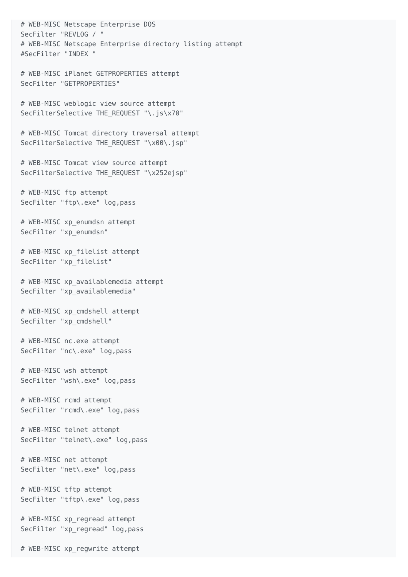# WEB-MISC Netscape Enterprise DOS SecFilter "REVLOG / " # WEB-MISC Netscape Enterprise directory listing attempt #SecFilter "INDEX " # WEB-MISC iPlanet GETPROPERTIES attempt SecFilter "GETPROPERTIES" # WEB-MISC weblogic view source attempt SecFilterSelective THE REQUEST "\.js\x70" # WEB-MISC Tomcat directory traversal attempt SecFilterSelective THE REQUEST "\x00\.jsp" # WEB-MISC Tomcat view source attempt SecFilterSelective THE REQUEST "\x252ejsp" # WEB-MISC ftp attempt SecFilter "ftp\.exe" log,pass # WEB-MISC xp\_enumdsn attempt SecFilter "xp\_enumdsn" # WEB-MISC xp\_filelist attempt SecFilter "xp\_filelist" # WEB-MISC xp\_availablemedia attempt SecFilter "xp\_availablemedia" # WEB-MISC xp\_cmdshell attempt

SecFilter "xp\_cmdshell"

 # WEB-MISC nc.exe attempt SecFilter "nc\.exe" log,pass

 # WEB-MISC wsh attempt SecFilter "wsh\.exe" log,pass

 # WEB-MISC rcmd attempt SecFilter "rcmd\.exe" log,pass

 # WEB-MISC telnet attempt SecFilter "telnet\.exe" log,pass

 # WEB-MISC net attempt SecFilter "net\.exe" log,pass

 # WEB-MISC tftp attempt SecFilter "tftp\.exe" log,pass

 # WEB-MISC xp\_regread attempt SecFilter "xp\_regread" log,pass

# WEB-MISC xp\_regwrite attempt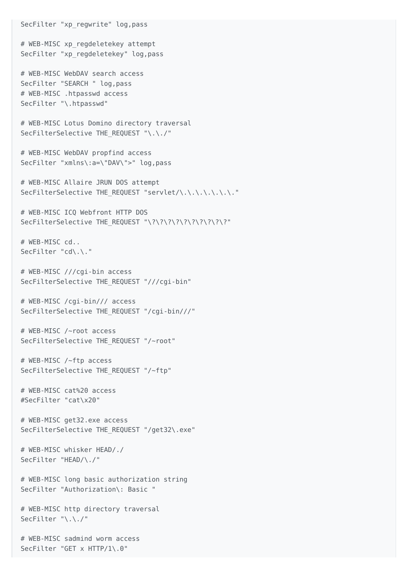# WEB-MISC xp\_regdeletekey attempt SecFilter "xp\_regdeletekey" log,pass # WEB-MISC WebDAV search access SecFilter "SEARCH " log,pass # WEB-MISC .htpasswd access SecFilter "\.htpasswd" # WEB-MISC Lotus Domino directory traversal SecFilterSelective THE\_REQUEST "\.\./" # WEB-MISC WebDAV propfind access SecFilter "xmlns\:a=\"DAV\">" log,pass # WEB-MISC Allaire JRUN DOS attempt SecFilterSelective THE REQUEST "servlet/\.\.\.\.\.\.\." # WEB-MISC ICQ Webfront HTTP DOS SecFilterSelective THE REQUEST "\?\?\?\?\?\?\?\?\?\?\?" # WEB-MISC cd.. SecFilter "cd\.\." # WEB-MISC ///cgi-bin access SecFilterSelective THE\_REQUEST "///cgi-bin" # WEB-MISC /cgi-bin/// access SecFilterSelective THE\_REQUEST "/cgi-bin///" # WEB-MISC /~root access SecFilterSelective THE REQUEST "/~root" # WEB-MISC /~ftp access SecFilterSelective THE\_REQUEST "/~ftp" # WEB-MISC cat%20 access #SecFilter "cat\x20" # WEB-MISC get32.exe access SecFilterSelective THE REQUEST "/get32\.exe" # WEB-MISC whisker HEAD/./ SecFilter "HEAD/\./" # WEB-MISC long basic authorization string SecFilter "Authorization\: Basic " # WEB-MISC http directory traversal SecFilter "\.\./" # WEB-MISC sadmind worm access SecFilter "GET x HTTP/1\.0"

SecFilter "xp\_regwrite" log,pass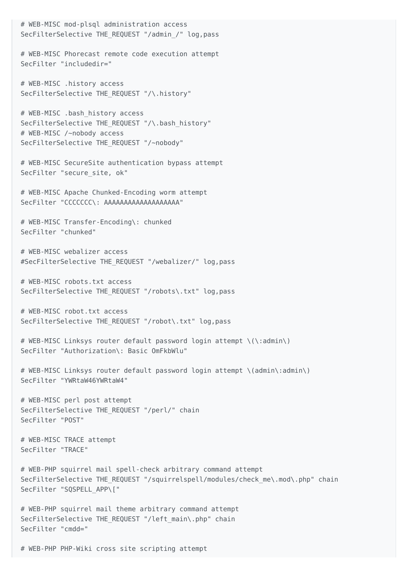# WEB-MISC mod-plsql administration access SecFilterSelective THE REQUEST "/admin /" log, pass # WEB-MISC Phorecast remote code execution attempt SecFilter "includedir=" # WEB-MISC .history access SecFilterSelective THE REQUEST "/\.history" # WEB-MISC .bash history access SecFilterSelective THE REQUEST "/\.bash history" # WEB-MISC /~nobody access SecFilterSelective THE\_REQUEST "/~nobody" # WEB-MISC SecureSite authentication bypass attempt SecFilter "secure site, ok" # WEB-MISC Apache Chunked-Encoding worm attempt SecFilter "CCCCCCC\: AAAAAAAAAAAAAAAAAAA" # WEB-MISC Transfer-Encoding\: chunked SecFilter "chunked" # WEB-MISC webalizer access #SecFilterSelective THE\_REQUEST "/webalizer/" log,pass # WEB-MISC robots.txt access SecFilterSelective THE\_REQUEST "/robots\.txt" log,pass # WEB-MISC robot.txt access SecFilterSelective THE REQUEST "/robot\.txt" log,pass # WEB-MISC Linksys router default password login attempt \(\:admin\) SecFilter "Authorization\: Basic OmFkbWlu" # WEB-MISC Linksys router default password login attempt \(admin\:admin\) SecFilter "YWRtaW46YWRtaW4" # WEB-MISC perl post attempt SecFilterSelective THE REQUEST "/perl/" chain SecFilter "POST" # WEB-MISC TRACE attempt SecFilter "TRACE" # WEB-PHP squirrel mail spell-check arbitrary command attempt SecFilterSelective THE REQUEST "/squirrelspell/modules/check me\.mod\.php" chain SecFilter "SQSPELL\_APP\[" # WEB-PHP squirrel mail theme arbitrary command attempt SecFilterSelective THE\_REQUEST "/left\_main\.php" chain SecFilter "cmdd="

# WEB-PHP PHP-Wiki cross site scripting attempt